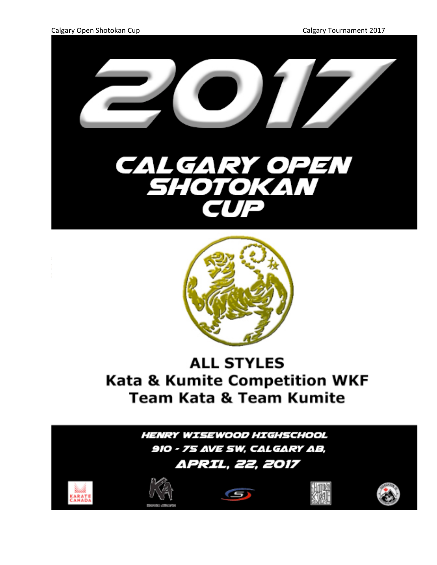



## **ALL STYLES Kata & Kumite Competition WKF Team Kata & Team Kumite**

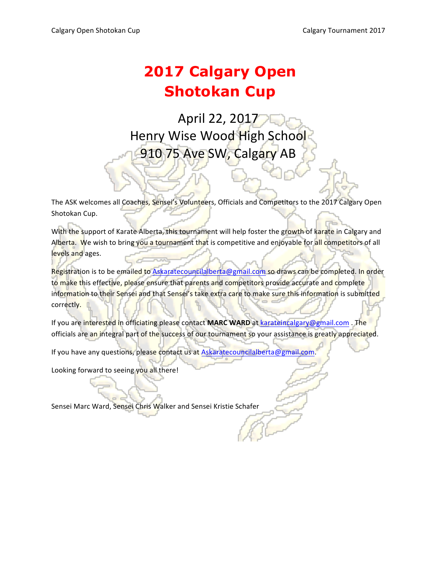## **2017 Calgary Open Shotokan Cup**

April 22, 2017 Henry Wise Wood High School 910 75 Ave SW, Calgary AB

The ASK welcomes all Coaches, Sensei's Volunteers, Officials and Competitors to the 2017 Calgary Open Shotokan Cup.

With the support of Karate Alberta, this tournament will help foster the growth of karate in Calgary and Alberta. We wish to bring you a tournament that is competitive and enjoyable for all competitors of all levels and ages.

Registration is to be emailed to Askaratecouncilalberta@gmail.com so draws can be completed. In order to make this effective, please ensure that parents and competitors provide accurate and complete information to their Sensei and that Sensei's take extra care to make sure this information is submitted correctly. 

If you are interested in officiating please contact MARC WARD at karateincalgary@gmail.com . The officials are an integral part of the success of our tournament so your assistance is greatly appreciated.

If you have any questions, please contact us at Askaratecouncilalberta@gmail.com

Looking forward to seeing you all there!

Sensei Marc Ward, Sensei Chris Walker and Sensei Kristie Schafer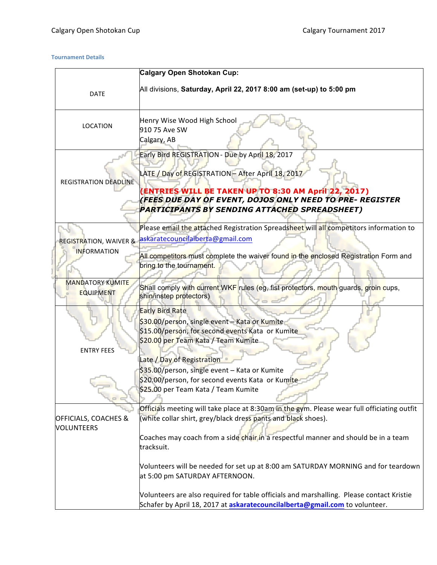#### **Tournament Details**

|                                                  | Calgary Open Shotokan Cup:                                                                                                                                                                                                                                                               |
|--------------------------------------------------|------------------------------------------------------------------------------------------------------------------------------------------------------------------------------------------------------------------------------------------------------------------------------------------|
| <b>DATE</b>                                      | All divisions, Saturday, April 22, 2017 8:00 am (set-up) to 5:00 pm                                                                                                                                                                                                                      |
| <b>LOCATION</b>                                  | Henry Wise Wood High School<br>910 75 Ave SW<br>Calgary, AB                                                                                                                                                                                                                              |
| REGISTRATION DEADLINE                            | Early Bird REGISTRATION - Due by April 18, 2017<br>LATE / Day of REGISTRATION - After April 18, 2017<br>(ENTRIES WILL BE TAKEN UP TO 8:30 AM April 22, 2017)<br>( <mark>FEES DUE DAY O</mark> F EVENT, DOJOS ONLY NEED TO PRE- REGISTER<br>PARTICIPANTS BY SENDING ATTACHED SPREADSHEET) |
| <b>REGISTRATION, WAIVER &amp;</b><br>INFORMATION | Please email the attached Registration Spreadsheet will all competitors information to<br>askaratecouncilalberta@gmail.com<br>All competitors must complete the waiver found in the enclosed Registration Form and<br>bring to the tournament.                                           |
| <b>MANDATORY KUMITE</b><br><b>EQUIPMENT</b>      | Shall comply with current WKF rules (eg, fist protectors, mouth guards, groin cups,<br>shin/instep protectors)                                                                                                                                                                           |
| <b>ENTRY FEES</b>                                | <b>Early Bird Rate</b><br>\$30.00/person, single event - Kata or Kumite<br>\$15.00/person, for second events Kata or Kumite<br>\$2 <mark>0.00 per T</mark> eam Kata / Team Kumite                                                                                                        |
|                                                  | Late / Day of Registration<br>\$35.00/person, single event – Kata or Kumite<br>\$20.00/person, for second events Kata or Kumite<br>\$25.00 per Team Kata / Team Kumite                                                                                                                   |
| OFFICIALS, COACHES &<br><b>VOLUNTEERS</b>        | Officials meeting will take place at 8:30am in the gym. Please wear full officiating outfit<br>(white collar shirt, grey/black dress pants and black shoes).<br>Coaches may coach from a side chair in a respectful manner and should be in a team<br>tracksuit.                         |
|                                                  | Volunteers will be needed for set up at 8:00 am SATURDAY MORNING and for teardown<br>at 5:00 pm SATURDAY AFTERNOON.                                                                                                                                                                      |
|                                                  | Volunteers are also required for table officials and marshalling. Please contact Kristie<br>Schafer by April 18, 2017 at askaratecouncilalberta@gmail.com to volunteer.                                                                                                                  |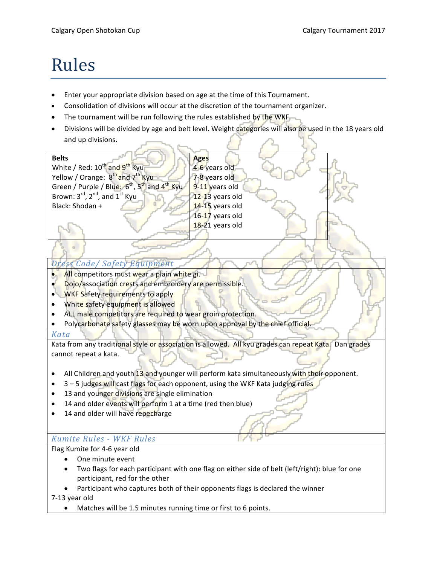# Rules

- Enter your appropriate division based on age at the time of this Tournament.
- Consolidation of divisions will occur at the discretion of the tournament organizer.
- The tournament will be run following the rules established by the WKF.
- Divisions will be divided by age and belt level. Weight categories will also be used in the 18 years old and up divisions.



#### *Dress Code/ Safety Equipment*

- All competitors must wear a plain white gi.
- Dojo/association crests and embroidery are permissible.
- WKF Safety requirements to apply
- White safety equipment is allowed
- ALL male competitors are required to wear groin protection.
- Polycarbonate safety glasses may be worn upon approval by the chief official.

#### *Kata*

Kata from any traditional style or association is allowed. All kyu grades can repeat Kata. Dan grades cannot repeat a kata.

- All Children and youth 13 and younger will perform kata simultaneously with their opponent.
- 3 5 judges will cast flags for each opponent, using the WKF Kata judging rules
- 13 and younger divisions are single elimination
- 14 and older events will perform 1 at a time (red then blue)
- 14 and older will have repecharge

#### *Kumite Rules - WKF Rules*

Flag Kumite for 4-6 year old

- One minute event
- Two flags for each participant with one flag on either side of belt (left/right): blue for one participant, red for the other
- Participant who captures both of their opponents flags is declared the winner

7-13 year old

• Matches will be 1.5 minutes running time or first to 6 points.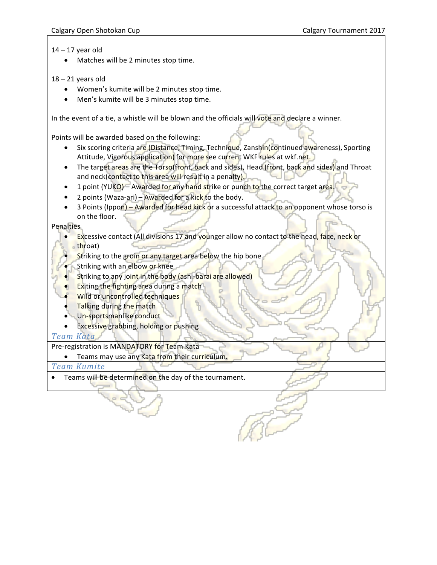14 – 17 year old

• Matches will be 2 minutes stop time.

#### 18 – 21 years old

- Women's kumite will be 2 minutes stop time.
- Men's kumite will be 3 minutes stop time.

In the event of a tie, a whistle will be blown and the officials will vote and declare a winner.

Points will be awarded based on the following:

- Six scoring criteria are (Distance, Timing, Technique, Zanshin(continued awareness), Sporting Attitude, Vigorous application) for more see current WKF rules at wkf.net.
- The target areas are the Torso(front, back and sides), Head (front, back and sides) and Throat and neck(contact to this area will result in a penalty).
- 1 point (YUKO) Awarded for any hand strike or punch to the correct target area.
- 2 points (Waza-ari) Awarded for a kick to the body.
- 3 Points (Ippon) Awarded for head kick or a successful attack to an opponent whose torso is on the floor.

Penalties

- Excessive contact (All divisions 17 and younger allow no contact to the head, face, neck or throat)
- Striking to the groin or any target area below the hip bone.
- Striking with an elbow or knee
- Striking to any joint in the body (ashi-barai are allowed)
- **Exiting the fighting area during a match**
- Wild or uncontrolled techniques
- Talking during the match
- Un-sportsmanlike conduct
- Excessive grabbing, holding or pushing

#### *Team Kata*

Pre-registration is MANDATORY for Team Kata

• Teams may use any Kata from their curriculum.

*Team Kumite*

• Teams will be determined on the day of the tournament.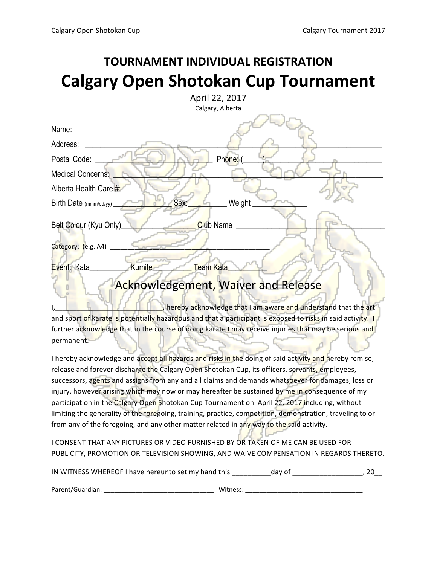## **TOURNAMENT INDIVIDUAL REGISTRATION Calgary Open Shotokan Cup Tournament**

| April 22, 2017                                                                                              |
|-------------------------------------------------------------------------------------------------------------|
| Calgary, Alberta                                                                                            |
| Name:                                                                                                       |
| Address:                                                                                                    |
| Phone:<br>Postal Code:                                                                                      |
| Medical Concerns:                                                                                           |
| Alberta Health Care #:                                                                                      |
| Weight<br>Sex:<br>Birth Date $(mmm/dd/yy)$                                                                  |
| Belt Colour (Kyu Only)<br>Club Name                                                                         |
| Category: (e.g. A4)                                                                                         |
| <b>Kumite</b><br><b>Team Kata</b><br>Event: Kata                                                            |
| <b>Acknowledgement, Waiver and Release</b>                                                                  |
| hereby acknowledge that I am aware and understand that the art                                              |
| and sport of karate is potentially hazardous and that a participant is exposed to risks in said activity. I |
| further acknowledge that in the course of doing karate I may receive injuries that may be serious and       |
| permanent.                                                                                                  |
| I hereby acknowledge and accept all hazards and risks in the doing of said activity and hereby remise,      |
| release and forever discharge the Calgary Open Shotokan Cup, its officers, servants, employees              |

l<mark>pen</mark> Shotokan Cup, its omicers, servang successors, agents and assigns from any and all claims and demands whatsoever for damages, loss or injury, however arising which may now or may hereafter be sustained by me in consequence of my participation in the Calgary Open Shotokan Cup Tournament on April 22, 2017 including, without limiting the generality of the foregoing, training, practice, competition, demonstration, traveling to or from any of the foregoing, and any other matter related in any way to the said activity.

I CONSENT THAT ANY PICTURES OR VIDEO FURNISHED BY OR TAKEN OF ME CAN BE USED FOR PUBLICITY, PROMOTION OR TELEVISION SHOWING, AND WAIVE COMPENSATION IN REGARDS THERETO.

| IN WITNESS WHEREOF I have hereunto set my hand this | dav of |  |
|-----------------------------------------------------|--------|--|
|                                                     |        |  |

| Parent/Guardian. | M/itr<br>. |
|------------------|------------|
|------------------|------------|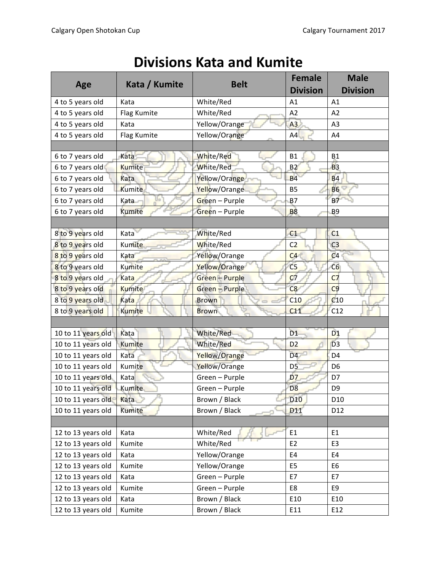| <b>Divisions Kata and Kumite</b> |  |  |  |
|----------------------------------|--|--|--|
|----------------------------------|--|--|--|

|                    |               |                       | <b>Female</b>   | <b>Male</b>     |
|--------------------|---------------|-----------------------|-----------------|-----------------|
| Age                | Kata / Kumite | <b>Belt</b>           | <b>Division</b> | <b>Division</b> |
| 4 to 5 years old   | Kata          | White/Red             | A1              | A1              |
| 4 to 5 years old   | Flag Kumite   | White/Red             | A2              | A2              |
| 4 to 5 years old   | Kata          | Yellow/Orange         | A <sub>3</sub>  | A3              |
| 4 to 5 years old   | Flag Kumite   | Yellow/Orange         | A4              | A4              |
|                    |               |                       |                 |                 |
| 6 to 7 years old   | Kata          | White/Red             | <b>B1</b>       | <b>B1</b>       |
| 6 to 7 years old   | <b>Kumite</b> | White/Red             | B <sub>2</sub>  | <b>B3</b>       |
| 6 to 7 years old   | Kata          | Yellow/Orange         | <b>B4</b>       | <b>B4</b>       |
| 6 to 7 years old   | Kumite        | Yellow/Orange         | <b>B5</b>       | <b>B6</b>       |
| 6 to 7 years old   | Kata          | Green - Purple        | <b>B7</b>       | <b>B7</b>       |
| 6 to 7 years old   | Kumite        | Green - Purple        | <b>B8</b>       | B <sub>9</sub>  |
|                    |               |                       |                 |                 |
| 8 to 9 years old   | Kata          | White/Red             | C <sub>1</sub>  | C <sub>1</sub>  |
| 8 to 9 years old   | Kumite        | White/Red             | C <sub>2</sub>  | C <sub>3</sub>  |
| 8 to 9 years old   | Kata          | Yellow/Orange         | C4              | C <sub>4</sub>  |
| 8 to 9 years old   | <b>Kumite</b> | Yellow/Orange         | C <sub>5</sub>  | C6              |
| 8 to 9 years old   | Kata          | <b>Green</b> - Purple | C <sub>7</sub>  | C <sub>7</sub>  |
| 8 to 9 years old   | <b>Kumite</b> | Green - Purple        | C8              | C <sub>9</sub>  |
| 8 to 9 years old   | Kata          | <b>Brown</b>          | C10             | C10             |
| 8 to 9 years old   | Kumite        | <b>Brown</b>          | C11             | C12             |
|                    |               |                       |                 |                 |
| 10 to 11 years old | Kata          | <b>White/Red</b>      | D <sub>1</sub>  | D <sub>1</sub>  |
| 10 to 11 years old | Kumite        | White/Red             | D <sub>2</sub>  | $\overline{D}3$ |
| 10 to 11 years old | Kata          | Yellow/Orange         | D <sub>4</sub>  | D <sub>4</sub>  |
| 10 to 11 years old | Kumite        | Yellow/Orange         | D <sub>5</sub>  | D <sub>6</sub>  |
| 10 to 11 years old | Kata          | Green - Purple        | D7              | D7              |
| 10 to 11 years old | Kumite        | Green - Purple        | D <sub>8</sub>  | D <sub>9</sub>  |
| 10 to 11 years old | Kata          | Brown / Black         | D <sub>10</sub> | D <sub>10</sub> |
| 10 to 11 years old | Kumite        | Brown / Black         | D <sub>14</sub> | D <sub>12</sub> |
|                    |               |                       |                 |                 |
| 12 to 13 years old | Kata          | White/Red             | E1              | E1              |
| 12 to 13 years old | Kumite        | White/Red             | E <sub>2</sub>  | E <sub>3</sub>  |
| 12 to 13 years old | Kata          | Yellow/Orange         | E4              | E4              |
| 12 to 13 years old | Kumite        | Yellow/Orange         | E <sub>5</sub>  | E <sub>6</sub>  |
| 12 to 13 years old | Kata          | Green - Purple        | E7              | E7              |
| 12 to 13 years old | Kumite        | Green - Purple        | E8              | E9              |
| 12 to 13 years old | Kata          | Brown / Black         | E10             | E10             |
| 12 to 13 years old | Kumite        | Brown / Black         | E11             | E12             |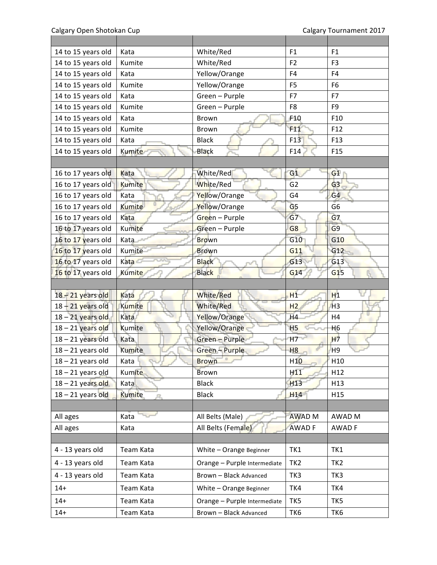Calgary Open Shotokan Cup Calgary Tournament 2017

| 14 to 15 years old  | Kata          | White/Red                    | F1              | F1              |
|---------------------|---------------|------------------------------|-----------------|-----------------|
| 14 to 15 years old  | Kumite        | White/Red                    | F <sub>2</sub>  | F <sub>3</sub>  |
| 14 to 15 years old  | Kata          | Yellow/Orange                | F4              | F4              |
| 14 to 15 years old  | Kumite        | Yellow/Orange                | F <sub>5</sub>  | F <sub>6</sub>  |
| 14 to 15 years old  | Kata          | Green - Purple               | F7              | F7              |
| 14 to 15 years old  | Kumite        | Green - Purple               | F8              | F <sub>9</sub>  |
| 14 to 15 years old  | Kata          | Brown                        | F10             | F10             |
| 14 to 15 years old  | Kumite        | Brown                        | F11             | F12             |
| 14 to 15 years old  | Kata          | <b>Black</b>                 | F13             | F13             |
| 14 to 15 years old  | Kumite        | Black                        | F14             | F <sub>15</sub> |
|                     |               |                              |                 |                 |
| 16 to 17 years old  | Kata          | White/Red                    | G1              | G1              |
| 16 to 17 years old  | Kumite        | White/Red                    | $\overline{G}2$ | G <sub>3</sub>  |
| 16 to 17 years old  | Kata          | Yellow/Orange                | G4              | G4              |
| 16 to 17 years old  | <b>Kumite</b> | Yellow/Orange                | G <sub>5</sub>  | G <sub>6</sub>  |
| 16 to 17 years old  | Kata          | Green - Purple               | G7              | G7              |
| 16 to 17 years old  | Kumite        | Green - Purple               | G <sub>8</sub>  | G <sub>9</sub>  |
| 16 to 17 years old  | Kata          | <b>Brown</b>                 | G10             | G10             |
| 16 to 17 years old  | Kumite        | <b>Brown</b>                 | G11             | G12             |
| 16 to 17 years old  | <b>Kata</b>   | <b>Black</b>                 | G13             | G13             |
| 16 to 17 years old  | <b>Kumite</b> | <b>Black</b>                 | G14             | G15             |
|                     |               |                              |                 |                 |
| 18 - 21 years old   | Kata          | <b>White/Red</b>             | H1              | H1              |
| 18 - 21 years old   | Kumite        | White/Red                    | H <sub>2</sub>  | H <sub>3</sub>  |
| 18 - 21 years old   | Kata          | Yellow/Orange                | H <sub>4</sub>  | U<br>H4         |
| 18 - 21 years old   | <b>Kumite</b> | Yellow/Orange                | H <sub>5</sub>  | H <sub>6</sub>  |
| 18 - 21 years old   | Kata          | <b>Green - Purple</b>        | H7              | H7              |
| $18 - 21$ years old | <b>Kumite</b> | <b>Green - Purple</b>        | H8              | H <sub>9</sub>  |
| $18 - 21$ years old | Kata          | <b>Brown</b>                 | H <sub>10</sub> | H10             |
| $18 - 21$ years old | <b>Kumite</b> | <b>Brown</b>                 | H11             | H12             |
| 18 - 21 years old   | Katal         | <b>Black</b>                 | H13             | H <sub>13</sub> |
| $18 - 21$ years old | <b>Kumite</b> | <b>Black</b>                 | H <sub>14</sub> | H15             |
|                     |               |                              |                 |                 |
| All ages            | Kata          | All Belts (Male)             | <b>AWAD M</b>   | AWAD M          |
| All ages            | Kata          | All Belts (Female)           | <b>AWAD F</b>   | AWAD F          |
|                     |               |                              |                 |                 |
| 4 - 13 years old    | Team Kata     | White - Orange Beginner      | TK1             | TK1             |
| 4 - 13 years old    | Team Kata     | Orange - Purple Intermediate | TK <sub>2</sub> | TK <sub>2</sub> |
| 4 - 13 years old    | Team Kata     | Brown - Black Advanced       | TK3             | TK3             |
| $14+$               | Team Kata     | White - Orange Beginner      | TK4             | TK4             |
| $14+$               | Team Kata     | Orange - Purple Intermediate | TK5             | TK5             |
| $14+$               | Team Kata     | Brown - Black Advanced       | TK6             | TK6             |